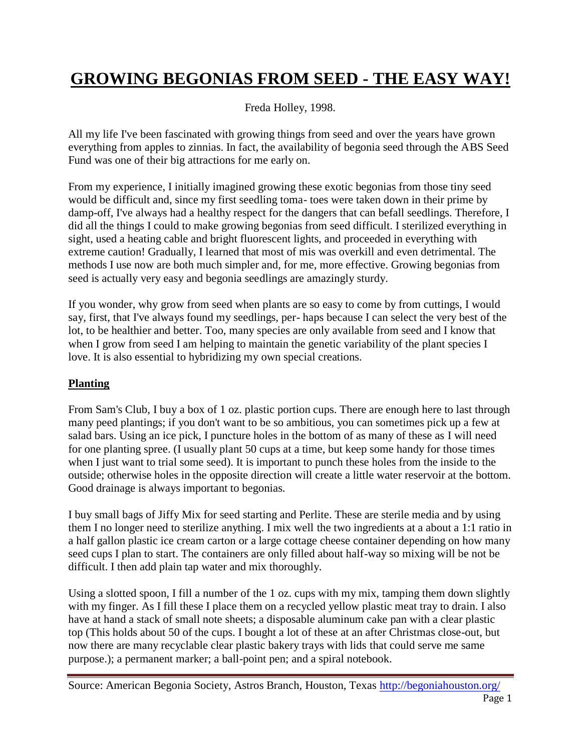## **GROWING BEGONIAS FROM SEED - THE EASY WAY!**

Freda Holley, 1998.

All my life I've been fascinated with growing things from seed and over the years have grown everything from apples to zinnias. In fact, the availability of begonia seed through the ABS Seed Fund was one of their big attractions for me early on.

From my experience, I initially imagined growing these exotic begonias from those tiny seed would be difficult and, since my first seedling toma- toes were taken down in their prime by damp-off, I've always had a healthy respect for the dangers that can befall seedlings. Therefore, I did all the things I could to make growing begonias from seed difficult. I sterilized everything in sight, used a heating cable and bright fluorescent lights, and proceeded in everything with extreme caution! Gradually, I learned that most of mis was overkill and even detrimental. The methods I use now are both much simpler and, for me, more effective. Growing begonias from seed is actually very easy and begonia seedlings are amazingly sturdy.

If you wonder, why grow from seed when plants are so easy to come by from cuttings, I would say, first, that I've always found my seedlings, per- haps because I can select the very best of the lot, to be healthier and better. Too, many species are only available from seed and I know that when I grow from seed I am helping to maintain the genetic variability of the plant species I love. It is also essential to hybridizing my own special creations.

## **Planting**

From Sam's Club, I buy a box of 1 oz. plastic portion cups. There are enough here to last through many peed plantings; if you don't want to be so ambitious, you can sometimes pick up a few at salad bars. Using an ice pick, I puncture holes in the bottom of as many of these as I will need for one planting spree. (I usually plant 50 cups at a time, but keep some handy for those times when I just want to trial some seed). It is important to punch these holes from the inside to the outside; otherwise holes in the opposite direction will create a little water reservoir at the bottom. Good drainage is always important to begonias.

I buy small bags of Jiffy Mix for seed starting and Perlite. These are sterile media and by using them I no longer need to sterilize anything. I mix well the two ingredients at a about a 1:1 ratio in a half gallon plastic ice cream carton or a large cottage cheese container depending on how many seed cups I plan to start. The containers are only filled about half-way so mixing will be not be difficult. I then add plain tap water and mix thoroughly.

Using a slotted spoon, I fill a number of the 1 oz. cups with my mix, tamping them down slightly with my finger. As I fill these I place them on a recycled yellow plastic meat tray to drain. I also have at hand a stack of small note sheets; a disposable aluminum cake pan with a clear plastic top (This holds about 50 of the cups. I bought a lot of these at an after Christmas close-out, but now there are many recyclable clear plastic bakery trays with lids that could serve me same purpose.); a permanent marker; a ball-point pen; and a spiral notebook.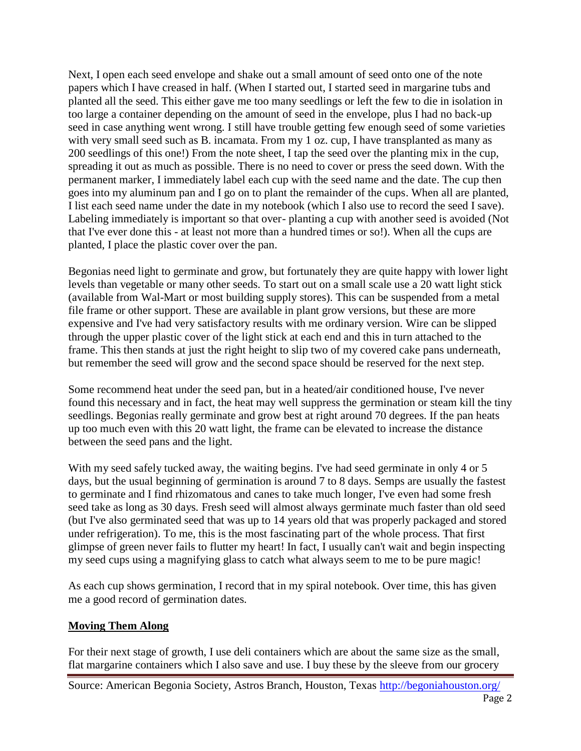Next, I open each seed envelope and shake out a small amount of seed onto one of the note papers which I have creased in half. (When I started out, I started seed in margarine tubs and planted all the seed. This either gave me too many seedlings or left the few to die in isolation in too large a container depending on the amount of seed in the envelope, plus I had no back-up seed in case anything went wrong. I still have trouble getting few enough seed of some varieties with very small seed such as B. incamata. From my 1 oz. cup, I have transplanted as many as 200 seedlings of this one!) From the note sheet, I tap the seed over the planting mix in the cup, spreading it out as much as possible. There is no need to cover or press the seed down. With the permanent marker, I immediately label each cup with the seed name and the date. The cup then goes into my aluminum pan and I go on to plant the remainder of the cups. When all are planted, I list each seed name under the date in my notebook (which I also use to record the seed I save). Labeling immediately is important so that over- planting a cup with another seed is avoided (Not that I've ever done this - at least not more than a hundred times or so!). When all the cups are planted, I place the plastic cover over the pan.

Begonias need light to germinate and grow, but fortunately they are quite happy with lower light levels than vegetable or many other seeds. To start out on a small scale use a 20 watt light stick (available from Wal-Mart or most building supply stores). This can be suspended from a metal file frame or other support. These are available in plant grow versions, but these are more expensive and I've had very satisfactory results with me ordinary version. Wire can be slipped through the upper plastic cover of the light stick at each end and this in turn attached to the frame. This then stands at just the right height to slip two of my covered cake pans underneath, but remember the seed will grow and the second space should be reserved for the next step.

Some recommend heat under the seed pan, but in a heated/air conditioned house, I've never found this necessary and in fact, the heat may well suppress the germination or steam kill the tiny seedlings. Begonias really germinate and grow best at right around 70 degrees. If the pan heats up too much even with this 20 watt light, the frame can be elevated to increase the distance between the seed pans and the light.

With my seed safely tucked away, the waiting begins. I've had seed germinate in only 4 or 5 days, but the usual beginning of germination is around 7 to 8 days. Semps are usually the fastest to germinate and I find rhizomatous and canes to take much longer, I've even had some fresh seed take as long as 30 days. Fresh seed will almost always germinate much faster than old seed (but I've also germinated seed that was up to 14 years old that was properly packaged and stored under refrigeration). To me, this is the most fascinating part of the whole process. That first glimpse of green never fails to flutter my heart! In fact, I usually can't wait and begin inspecting my seed cups using a magnifying glass to catch what always seem to me to be pure magic!

As each cup shows germination, I record that in my spiral notebook. Over time, this has given me a good record of germination dates.

## **Moving Them Along**

For their next stage of growth, I use deli containers which are about the same size as the small, flat margarine containers which I also save and use. I buy these by the sleeve from our grocery